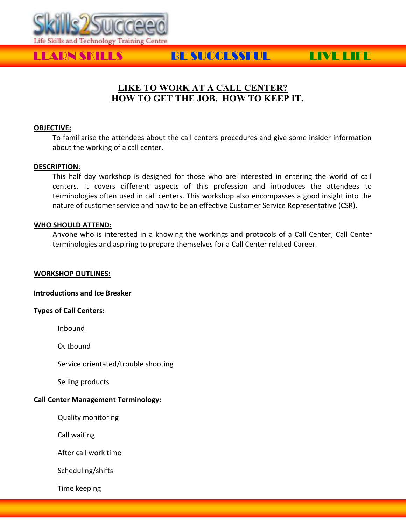

# LEARN SKILLS BE SUCCESSFUL LIVE LIFE

## **LIKE TO WORK AT A CALL CENTER? HOW TO GET THE JOB. HOW TO KEEP IT.**

#### **OBJECTIVE:**

To familiarise the attendees about the call centers procedures and give some insider information about the working of a call center.

#### **DESCRIPTION**:

This half day workshop is designed for those who are interested in entering the world of call centers. It covers different aspects of this profession and introduces the attendees to terminologies often used in call centers. This workshop also encompasses a good insight into the nature of customer service and how to be an effective Customer Service Representative (CSR).

#### **WHO SHOULD ATTEND:**

Anyone who is interested in a knowing the workings and protocols of a Call Center, Call Center terminologies and aspiring to prepare themselves for a Call Center related Career.

#### **WORKSHOP OUTLINES:**

**Introductions and Ice Breaker**

#### **Types of Call Centers:**

Inbound

Outbound

Service orientated/trouble shooting

Selling products

### **Call Center Management Terminology:**

Quality monitoring

Call waiting

After call work time

Scheduling/shifts

Time keeping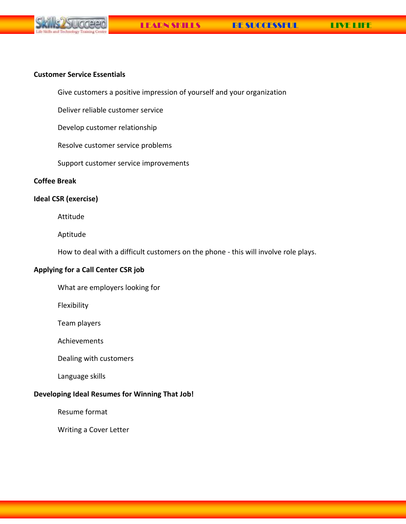

#### **Customer Service Essentials**

Give customers a positive impression of yourself and your organization

Deliver reliable customer service

Develop customer relationship

Resolve customer service problems

Support customer service improvements

#### **Coffee Break**

#### **Ideal CSR (exercise)**

Attitude

Aptitude

How to deal with a difficult customers on the phone - this will involve role plays.

#### **Applying for a Call Center CSR job**

What are employers looking for

Flexibility

Team players

Achievements

Dealing with customers

Language skills

#### **Developing Ideal Resumes for Winning That Job!**

Resume format

Writing a Cover Letter